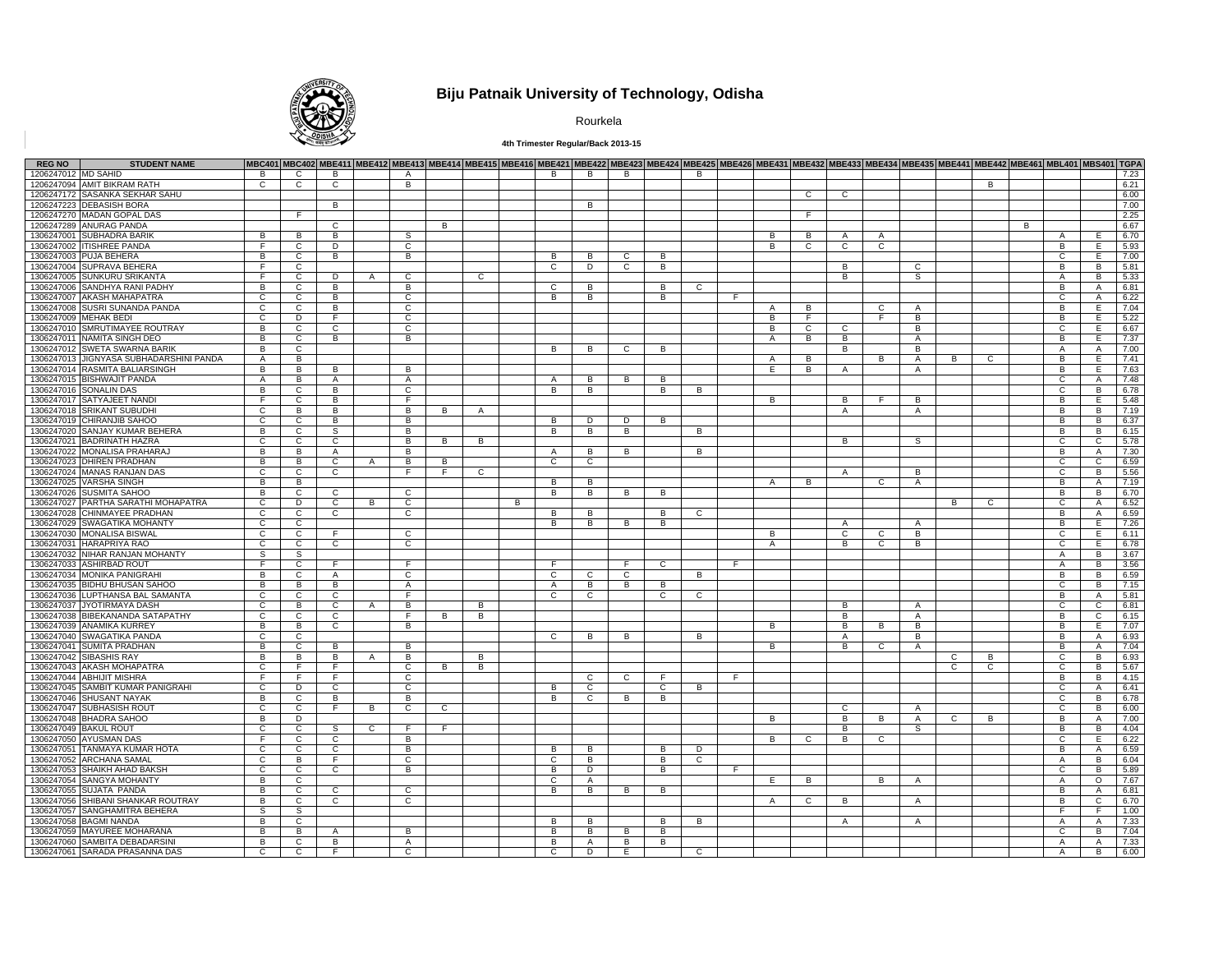

# **Biju Patnaik University of Technology, Odisha**

Rourkela

### **4th Trimester Regular/Back 2013-15**

| <b>REG NO</b>       | <b>STUDENT NAME</b>                     |                |                |                | MBC401 MBC402 MBE411 MBE412 MBE413 MBE414 MBE415 MBE416 MBE421 MBE422 MBE423 MBE424 MBE425 MBE426 MBE431 MBE432 MBE433 MBE433 MBE435 MBE4421 MBE442 MBE461 MBL401 MBS401 TGPA |                |              |              |   |                |                |                |              |                |    |              |              |                |                |                |   |                |   |                |                |      |
|---------------------|-----------------------------------------|----------------|----------------|----------------|-------------------------------------------------------------------------------------------------------------------------------------------------------------------------------|----------------|--------------|--------------|---|----------------|----------------|----------------|--------------|----------------|----|--------------|--------------|----------------|----------------|----------------|---|----------------|---|----------------|----------------|------|
| 1206247012 MD SAHID |                                         | B              | $\mathsf{C}$   | B              |                                                                                                                                                                               | A              |              |              |   | B              | B              | B              |              | B              |    |              |              |                |                |                |   |                |   |                |                | 7.23 |
|                     | 1206247094 AMIT BIKRAM RATH             | $\overline{c}$ | $\overline{c}$ | $\overline{c}$ |                                                                                                                                                                               | B              |              |              |   |                |                |                |              |                |    |              |              |                |                |                |   | $\overline{B}$ |   |                |                | 6.21 |
|                     | 1206247172 SASANKA SEKHAR SAHU          |                |                |                |                                                                                                                                                                               |                |              |              |   |                |                |                |              |                |    |              | $\mathbf{C}$ | $\mathbf{C}$   |                |                |   |                |   |                |                | 6.00 |
|                     | 1206247223 DEBASISH BORA                |                |                | B              |                                                                                                                                                                               |                |              |              |   |                | <b>B</b>       |                |              |                |    |              |              |                |                |                |   |                |   |                |                | 7.00 |
|                     | 1206247270 MADAN GOPAL DAS              |                | F.             |                |                                                                                                                                                                               |                |              |              |   |                |                |                |              |                |    |              | F.           |                |                |                |   |                |   |                |                | 2.25 |
|                     | 1206247289 ANURAG PANDA                 |                |                | $\overline{c}$ |                                                                                                                                                                               |                | B            |              |   |                |                |                |              |                |    |              |              |                |                |                |   |                | B |                |                | 6.67 |
|                     | 1306247001 SUBHADRA BARIK               | B              | $\overline{B}$ | B              |                                                                                                                                                                               | S.             |              |              |   |                |                |                |              |                |    | B            | В            | $\mathsf{A}$   | $\mathsf{A}$   |                |   |                |   | $\overline{A}$ | E              | 6.70 |
|                     | 1306247002 ITISHREE PANDA               | E              | $\mathsf{C}$   | D              |                                                                                                                                                                               | $\mathbf C$    |              |              |   |                |                |                |              |                |    | B            | $\mathbf{C}$ | $\mathbf{C}$   | $\mathsf{C}$   |                |   |                |   | B              | E              | 5.93 |
|                     | 1306247003 PUJA BEHERA                  | $\overline{B}$ | $\overline{c}$ | B              |                                                                                                                                                                               | B              |              |              |   | B              | B              | $\overline{c}$ | В            |                |    |              |              |                |                |                |   |                |   | $\overline{c}$ | Ε              | 7.00 |
|                     | 1306247004 SUPRAVA BEHERA               | -F             | $\mathbf{C}$   |                |                                                                                                                                                                               |                |              |              |   | $\mathbf{C}$   | D              | $\mathsf{C}$   | В            |                |    |              |              | B              |                | C              |   |                |   | B              | B              | 5.81 |
| 1306247005          | <b>SUNKURU SRIKANTA</b>                 | F.             | $\mathsf{C}$   | D              | $\overline{A}$                                                                                                                                                                | $\mathsf{C}$   |              | $\mathsf{C}$ |   |                |                |                |              |                |    |              |              | B              |                | S.             |   |                |   | $\mathsf{A}$   | B              | 5.33 |
|                     | 1306247006 SANDHYA RANI PADHY           | $\overline{B}$ | $\overline{c}$ | B              |                                                                                                                                                                               | B              |              |              |   | $\overline{c}$ | B              |                | B            | $\overline{c}$ |    |              |              |                |                |                |   |                |   | B              | $\overline{A}$ | 6.81 |
|                     | 1306247007 AKASH MAHAPATRA              | $\mathsf{C}$   | $\mathsf{C}$   | B              |                                                                                                                                                                               | $\mathsf{C}$   |              |              |   | B              | B              |                | В            |                | E  |              |              |                |                |                |   |                |   | $\mathbf{C}$   | $\overline{A}$ | 6.22 |
|                     | 1306247008 SUSRI SUNANDA PANDA          | $\mathbf{c}$   | $\overline{c}$ | в              |                                                                                                                                                                               | $\overline{c}$ |              |              |   |                |                |                |              |                |    | A            | B            |                | $\overline{c}$ | A              |   |                |   | B              | E              | 7.04 |
|                     | 1306247009 MEHAK BEDI                   | C              | $\overline{D}$ | $\overline{F}$ |                                                                                                                                                                               | C              |              |              |   |                |                |                |              |                |    | В            | F.           |                | F.             | B              |   |                |   | B              | E              | 5.22 |
|                     | 1306247010 SMRUTIMAYEE ROUTRAY          | B              | $\overline{c}$ | $\overline{c}$ |                                                                                                                                                                               | $\mathsf{C}$   |              |              |   |                |                |                |              |                |    | B            | $\mathbb{C}$ | $\mathbf{C}$   |                | B              |   |                |   | $\overline{c}$ | E.             | 6.67 |
|                     | 1306247011 NAMITA SINGH DEO             | B              | $\overline{c}$ | B              |                                                                                                                                                                               | $\overline{B}$ |              |              |   |                |                |                |              |                |    | A            | В            | $\overline{B}$ |                | A              |   |                |   | B              | Έ              | 7.37 |
|                     | 1306247012 SWETA SWARNA BARIK           | B              | $\mathbf{C}$   |                |                                                                                                                                                                               |                |              |              |   | B              | B              | C              | В            |                |    |              |              | B              |                | B              |   |                |   | $\mathsf{A}$   | A              | 7.00 |
|                     | 1306247013 JIGNYASA SUBHADARSHINI PANDA | A              | $\overline{B}$ |                |                                                                                                                                                                               |                |              |              |   |                |                |                |              |                |    | A            | B            |                | $\overline{B}$ | A              | B | C              |   | B              | E              | 7.41 |
|                     | 1306247014 RASMITA BALIARSINGH          | B              | B              | B              |                                                                                                                                                                               | B.             |              |              |   |                |                |                |              |                |    | E            | B            | $\mathsf{A}$   |                | $\mathsf{A}$   |   |                |   | B              | E              | 7.63 |
|                     | 1306247015 BISHWAJIT PANDA              | $\overline{A}$ | B              | $\mathsf{A}$   |                                                                                                                                                                               | $\overline{A}$ |              |              |   | $\overline{A}$ | B              | B              | B            |                |    |              |              |                |                |                |   |                |   | $\mathbf{C}$   | $\overline{A}$ | 7.48 |
|                     | 1306247016 SONALIN DAS                  | $\overline{B}$ | $\overline{c}$ | B              |                                                                                                                                                                               | $\overline{c}$ |              |              |   | $\overline{B}$ | B              |                | В            | B              |    |              |              |                |                |                |   |                |   | c              | B              | 6.78 |
|                     | 1306247017 SATYAJEET NANDI              | E              | $\mathsf{C}$   | B              |                                                                                                                                                                               | E              |              |              |   |                |                |                |              |                |    | B            |              | B              | F              | B              |   |                |   | B              | E              | 5.48 |
|                     | 1306247018 SRIKANT SUBUDHI              | $\overline{c}$ | $\overline{B}$ | в              |                                                                                                                                                                               | B              | B.           |              |   |                |                |                |              |                |    |              |              |                |                |                |   |                |   | В              | $\overline{B}$ | 7.19 |
|                     | 1306247019 CHIRANJIB SAHOO              | $\mathbf{C}$   | $\overline{c}$ | $\overline{B}$ |                                                                                                                                                                               | B              |              | A            |   | B              | D              | D              | B            |                |    |              |              | $\mathsf{A}$   |                | A              |   |                |   | B              | B              | 6.37 |
|                     |                                         |                |                | s              |                                                                                                                                                                               |                |              |              |   |                |                | B              |              |                |    |              |              |                |                |                |   |                |   | B              |                |      |
|                     | 1306247020 SANJAY KUMAR BEHERA          | B              | $\mathsf{C}$   |                |                                                                                                                                                                               | B              |              |              |   | B              | B              |                |              | B              |    |              |              |                |                |                |   |                |   |                | B              | 6.15 |
|                     | 1306247021 BADRINATH HAZRA              | C              | $\overline{c}$ | $\overline{c}$ |                                                                                                                                                                               | B              | B            | B            |   |                |                |                |              |                |    |              |              | B              |                | S              |   |                |   | c              | C              | 5.78 |
|                     | 1306247022 MONALISA PRAHARAJ            | B              | B              | $\mathsf{A}$   |                                                                                                                                                                               | B              |              |              |   | $\mathsf{A}$   | B              | B              |              | В              |    |              |              |                |                |                |   |                |   | B              | A              | 7.30 |
|                     | 1306247023 DHIREN PRADHAN               | $\overline{B}$ | $\overline{B}$ | $\overline{c}$ | A                                                                                                                                                                             | B              | B            |              |   | $\overline{c}$ | $\overline{c}$ |                |              |                |    |              |              |                |                |                |   |                |   | C              | C              | 6.59 |
|                     | 1306247024 MANAS RANJAN DAS             | $\mathbf{C}$   | $\mathbf{C}$   | $\mathbf{C}$   |                                                                                                                                                                               | F.             | F.           | C.           |   |                |                |                |              |                |    |              |              | A              |                | B.             |   |                |   | C              | B              | 5.56 |
|                     | 1306247025 VARSHA SINGH                 | B              | B              |                |                                                                                                                                                                               |                |              |              |   | B              | B              |                |              |                |    |              | B            |                | $\mathsf{C}$   | $\overline{A}$ |   |                |   | B              | $\overline{A}$ | 7.19 |
|                     | 1306247026 SUSMITA SAHOO                | $\overline{B}$ | $\overline{c}$ | $\overline{c}$ |                                                                                                                                                                               | $\overline{c}$ |              |              |   | B              | B              | $\overline{B}$ | B            |                |    |              |              |                |                |                |   |                |   | В              | B              | 6.70 |
|                     | 1306247027 PARTHA SARATHI MOHAPATRA     | $\mathbf{C}$   | D              | C              | B                                                                                                                                                                             | C              |              |              | В |                |                |                |              |                |    |              |              |                |                |                | В | C              |   | $\mathbf{C}$   | $\overline{A}$ | 6.52 |
|                     | 1306247028 CHINMAYEE PRADHAN            | C              | $\overline{c}$ | $\overline{c}$ |                                                                                                                                                                               | C              |              |              |   | B              | B              |                | B            | C              |    |              |              |                |                |                |   |                |   | В              | $\mathsf{A}$   | 6.59 |
|                     | 1306247029 SWAGATIKA MOHANTY            | $\mathbf{C}$   | $\mathbf{C}$   |                |                                                                                                                                                                               |                |              |              |   | B              | B              | B              | B            |                |    |              |              | $\mathsf{A}$   |                | $\mathsf{A}$   |   |                |   | B              | E              | 7.26 |
|                     | 1306247030 MONALISA BISWAL              | $\mathbf{C}$   | C              | F.             |                                                                                                                                                                               | $\mathsf{C}$   |              |              |   |                |                |                |              |                |    | B            |              | $\mathbf{C}$   | $\mathbf{C}$   | В              |   |                |   | $\mathbf{C}$   | E              | 6.11 |
|                     | 1306247031 HARAPRIYA RAO                | $\mathbf{c}$   | $\overline{c}$ | $\overline{c}$ |                                                                                                                                                                               | c              |              |              |   |                |                |                |              |                |    | $\mathsf{A}$ |              | B              | $\overline{c}$ | B              |   |                |   | c              | E              | 6.78 |
|                     | 1306247032 NIHAR RANJAN MOHANTY         | S              | S              |                |                                                                                                                                                                               |                |              |              |   |                |                |                |              |                |    |              |              |                |                |                |   |                |   | $\mathsf{A}$   | B              | 3.67 |
|                     | 1306247033 ASHIRBAD ROUT                | F.             | $\mathbf{C}$   | F.             |                                                                                                                                                                               | F              |              |              |   | -F             |                | F.             | C            |                | F. |              |              |                |                |                |   |                |   | A              | B              | 3.56 |
|                     | 1306247034 MONIKA PANIGRAH              | B              | $\mathbf{C}$   | $\mathsf{A}$   |                                                                                                                                                                               | C              |              |              |   | $\mathbf{C}$   | C              | $\mathbf{C}$   |              | B              |    |              |              |                |                |                |   |                |   | B              | B              | 6.59 |
|                     | 1306247035 BIDHU BHUSAN SAHOO           | B              | B              | B              |                                                                                                                                                                               | $\mathsf{A}$   |              |              |   | $\mathsf{A}$   | B              | B              | B            |                |    |              |              |                |                |                |   |                |   | $\mathbf{C}$   | B              | 7.15 |
|                     | 1306247036 LUPTHANSA BAL SAMANTA        | $\mathbf{c}$   | $\overline{c}$ | $\overline{c}$ |                                                                                                                                                                               | F              |              |              |   | $\overline{c}$ | C              |                | С            | $\mathbf{C}$   |    |              |              |                |                |                |   |                |   | В              | A              | 5.81 |
|                     | 1306247037 JYOTIRMAYA DASH              | C              | B              | C              | $\mathsf{A}$                                                                                                                                                                  | B              |              | В            |   |                |                |                |              |                |    |              |              | B              |                | $\mathsf{A}$   |   |                |   | $\mathbf{C}$   | C              | 6.81 |
|                     | 1306247038 BIBEKANANDA SATAPATHY        | C              | $\overline{c}$ | C              |                                                                                                                                                                               | F              | B            | в            |   |                |                |                |              |                |    |              |              | B              |                | A              |   |                |   | В              | C              | 6.15 |
|                     | 1306247039 ANAMIKA KURREY               | B              | B              | $\mathbf{C}$   |                                                                                                                                                                               | B              |              |              |   |                |                |                |              |                |    | в            |              | B              | B              | B              |   |                |   | B              | E              | 7.07 |
|                     | 1306247040 SWAGATIKA PANDA              | $\mathsf{C}$   | $\mathsf{C}$   |                |                                                                                                                                                                               |                |              |              |   | $\mathbf{C}$   | B              | B              |              | В              |    |              |              | Α              |                | В              |   |                |   | B              | A              | 6.93 |
|                     | 1306247041 SUMITA PRADHAN               | $\overline{B}$ | $\overline{c}$ | B              |                                                                                                                                                                               | В              |              |              |   |                |                |                |              |                |    | B            |              | B              | C              | A              |   |                |   | В              | A              | 7.04 |
|                     | 1306247042 SIBASHIS RAY                 | B              | B              | B              | $\mathsf{A}$                                                                                                                                                                  | B              |              | B            |   |                |                |                |              |                |    |              |              |                |                |                | C | B              |   | C              | B              | 6.93 |
|                     | 1306247043 AKASH MOHAPATRA              | $\mathbf{C}$   | F.             | F.             |                                                                                                                                                                               | C              | B            | в            |   |                |                |                |              |                |    |              |              |                |                |                | C | C              |   | C              | В              | 5.67 |
|                     | 1306247044 ABHIJIT MISHRA               | F.             | F.             | F.             |                                                                                                                                                                               | $\mathbf{C}$   |              |              |   |                | C.             | $\mathbf{C}$   | -F.          |                | -F |              |              |                |                |                |   |                |   | B              | B              | 4.15 |
|                     | 1306247045 SAMBIT KUMAR PANIGRAHI       | $\mathsf{C}$   | D              | $\mathsf{C}$   |                                                                                                                                                                               | $\mathbf{C}$   |              |              |   | B              | $\mathbf{C}$   |                | $\mathbf{C}$ | B              |    |              |              |                |                |                |   |                |   | $\mathbf{C}$   | A              | 6.41 |
|                     | 1306247046 SHUSANT NAYAK                | B              | $\overline{c}$ | в              |                                                                                                                                                                               | B              |              |              |   | B              | C              | B              | В            |                |    |              |              |                |                |                |   |                |   | c              | B              | 6.78 |
|                     | 1306247047 SUBHASISH ROUT               | C              | C              | F.             | B                                                                                                                                                                             | C              | $\mathbf{C}$ |              |   |                |                |                |              |                |    |              |              | C              |                | $\overline{A}$ |   |                |   | C              | B              | 6.00 |
|                     | 1306247048 BHADRA SAHOO                 | B              | D              |                |                                                                                                                                                                               |                |              |              |   |                |                |                |              |                |    | в            |              | B              | B              | A              | C | B              |   | в              | A              | 7.00 |
|                     | 1306247049 BAKUL ROUT                   | C              | $\mathbf{C}$   | S              | C                                                                                                                                                                             | -F             | E            |              |   |                |                |                |              |                |    |              |              | B              |                | S              |   |                |   | В              | B              | 4.04 |
|                     | 1306247050 AYUSMAN DAS                  | E              | $\mathsf{C}$   | $\mathbf{C}$   |                                                                                                                                                                               | B              |              |              |   |                |                |                |              |                |    | B            | C            | B              | $\mathbf{C}$   |                |   |                |   | C              | E              | 6.22 |
|                     | 1306247051 TANMAYA KUMAR HOTA           | c              | $\overline{c}$ | $\overline{c}$ |                                                                                                                                                                               | в              |              |              |   | B              | B              |                | В            | D              |    |              |              |                |                |                |   |                |   | B              | A              | 6.59 |
|                     | 1306247052 ARCHANA SAMAL                | C              | B              | F.             |                                                                                                                                                                               | C              |              |              |   | C              | B              |                | В            | $\mathbf{C}$   |    |              |              |                |                |                |   |                |   | A              | В              | 6.04 |
|                     | 1306247053 SHAIKH AHAD BAKSH            | C              | $\mathbf{C}$   | C              |                                                                                                                                                                               | В              |              |              |   | B              | D              |                | В            |                | F. |              |              |                |                |                |   |                |   | C              | В              | 5.89 |
|                     | 1306247054 SANGYA MOHANTY               | B              | $\mathbf{C}$   |                |                                                                                                                                                                               |                |              |              |   | C              | A              |                |              |                |    | E.           | В            |                | B              | A              |   |                |   | A              | $\circ$        | 7.67 |
| 1306247055          | <b>SUJATA PANDA</b>                     | B              | $\mathbf{C}$   | $\mathbf{C}$   |                                                                                                                                                                               | $\mathbf{C}$   |              |              |   | B              | B              | B              | B            |                |    |              |              |                |                |                |   |                |   | B              | A              | 6.81 |
| 1306247056          | SHIBANI SHANKAR ROUTRAY                 | B              | C              | C              |                                                                                                                                                                               | c              |              |              |   |                |                |                |              |                |    | A            | C            | B              |                | A              |   |                |   | В              | C              | 6.70 |
|                     | 1306247057 SANGHAMITRA BEHERA           | S              | S              |                |                                                                                                                                                                               |                |              |              |   |                |                |                |              |                |    |              |              |                |                |                |   |                |   | F.             | F              | 1.00 |
|                     |                                         |                |                |                |                                                                                                                                                                               |                |              |              |   |                |                |                |              |                |    |              |              |                |                |                |   |                |   |                |                |      |
|                     | 1306247058 BAGMI NANDA                  | B              | $\mathbf{C}$   |                |                                                                                                                                                                               |                |              |              |   | в              | в              |                | в            | в              |    |              |              | A              |                | A              |   |                |   | A              | A              | 7.33 |
|                     | 1306247059 MAYUREE MOHARANA             | B              | B              | Α              |                                                                                                                                                                               | в              |              |              |   | В              | B              | B              | В            |                |    |              |              |                |                |                |   |                |   | C              | <b>B</b>       | 7.04 |
|                     | 1306247060 SAMBITA DEBADARSINI          | B              | C              | В              |                                                                                                                                                                               | Α              |              |              |   | B              | Α              | В              | В            |                |    |              |              |                |                |                |   |                |   | Α              | Α              | 7.33 |
|                     | 1306247061 SARADA PRASANNA DAS          | c              | c              | F              |                                                                                                                                                                               | c              |              |              |   | c              | D              | Ε              |              | C              |    |              |              |                |                |                |   |                |   | A              | В              | 6.00 |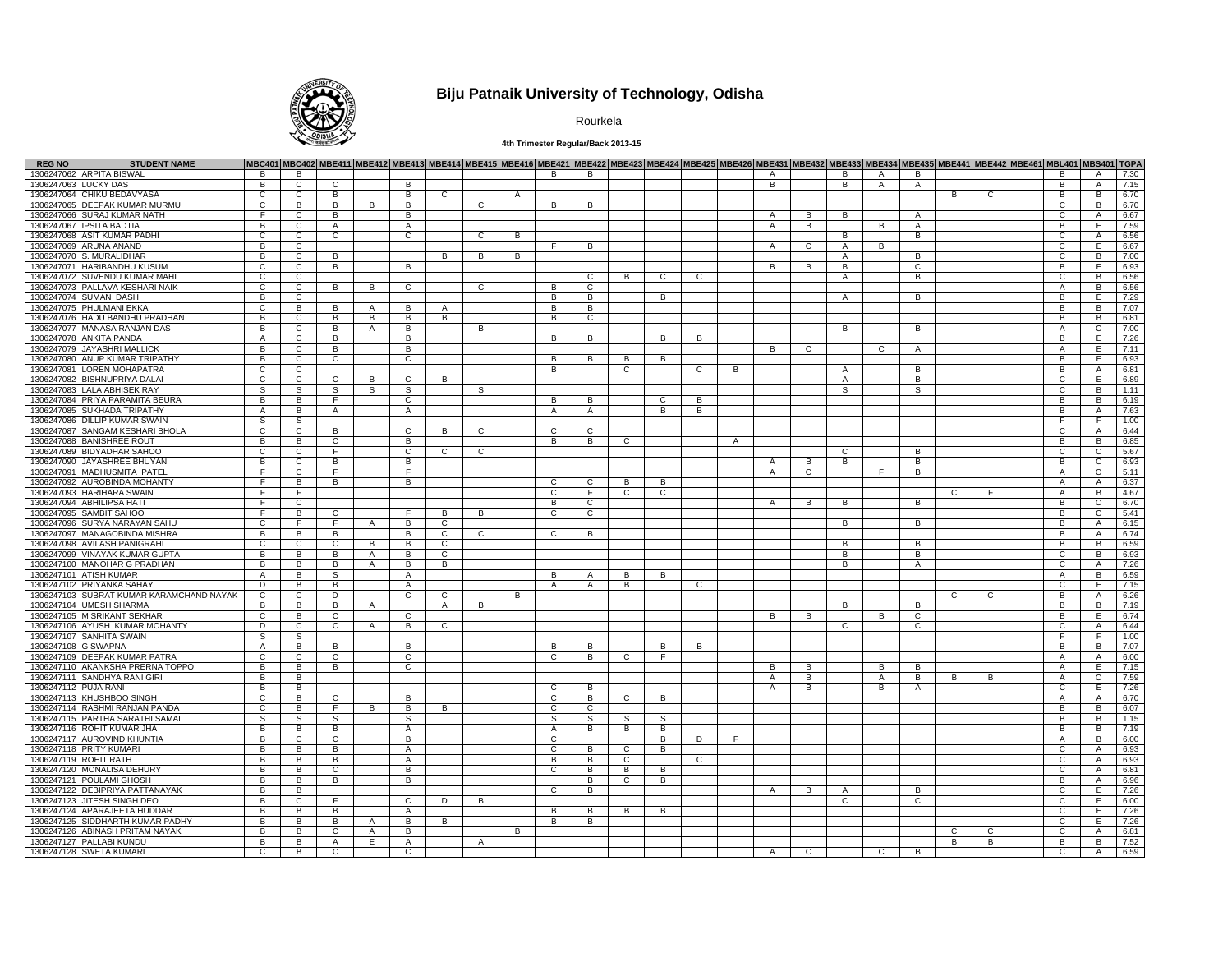

# **Biju Patnaik University of Technology, Odisha**

Rourkela

### **4th Trimester Regular/Back 2013-15**

| <b>REG NO</b>        | <b>STUDENT NAME</b>                      |                |                |                |                |                |              |                |              |                |                |              |              |                |              | MBC401 MBC402 MBE411 MBE412 MBE413 MBE414 MBE415 MBE416 MBE421 MBE422 MBE422 MBE424 MBE425 MBE426 MBE431 MBE432 MBE433 MBE434 MBE435 MBE441 MBE442 MBE461 MBL401 MBS401 TGPA |                |                |                |                     |    |   |                   |                |      |
|----------------------|------------------------------------------|----------------|----------------|----------------|----------------|----------------|--------------|----------------|--------------|----------------|----------------|--------------|--------------|----------------|--------------|------------------------------------------------------------------------------------------------------------------------------------------------------------------------------|----------------|----------------|----------------|---------------------|----|---|-------------------|----------------|------|
|                      | 1306247062 ARPITA BISWAL                 | B.             | B.             |                |                |                |              |                |              | B              | B              |              |              |                |              | $\Delta$                                                                                                                                                                     |                | B.             | $\overline{A}$ | B                   |    |   | B.                | $\overline{A}$ | 7.30 |
| 1306247063 LUCKY DAS |                                          | $\overline{B}$ | $\overline{c}$ | $\overline{c}$ |                | B              |              |                |              |                |                |              |              |                |              | $\overline{B}$                                                                                                                                                               |                | B              | $\overline{A}$ | $\overline{A}$      |    |   | В                 | $\overline{A}$ | 7.15 |
|                      | 1306247064 CHIKU BEDAVYASA               | $\mathsf{C}$   | C              | B              |                | B              | $\mathbf{C}$ |                | $\mathsf{A}$ |                |                |              |              |                |              |                                                                                                                                                                              |                |                |                |                     | В  | C | B                 | B              | 6.70 |
|                      | 1306247065 DEEPAK KUMAR MURMU            | C              | В              | $\overline{B}$ | $\overline{B}$ | $\overline{B}$ |              | C              |              | R.             | В              |              |              |                |              |                                                                                                                                                                              |                |                |                |                     |    |   | C                 | $\overline{B}$ | 6.70 |
|                      | 1306247066 SURAJ KUMAR NATH              |                | C              | B              |                | B              |              |                |              |                |                |              |              |                |              | A                                                                                                                                                                            | B              | в              |                | $\mathsf{A}$        |    |   | C                 | $\overline{A}$ | 6.67 |
| 1306247067           | <b>IPSITA BADTIA</b>                     | B.             | $\mathsf{C}$   | $\overline{A}$ |                | $\overline{A}$ |              |                |              |                |                |              |              |                |              | $\overline{A}$                                                                                                                                                               | B              |                | B.             | $\Delta$            |    |   | B                 | E.             | 7.59 |
|                      | 1306247068 ASIT KUMAR PADHI              | C              | $\overline{c}$ | $\overline{c}$ |                | $\overline{c}$ |              | $\overline{c}$ | В            |                |                |              |              |                |              |                                                                                                                                                                              |                | В              |                | B                   |    |   | C                 | Α              | 6.56 |
|                      | 1306247069 ARUNA ANAND                   | B              | C              |                |                |                |              |                |              | F.             | B              |              |              |                |              | $\mathsf{A}$                                                                                                                                                                 | C              | $\overline{A}$ | B              |                     |    |   | C                 | E              | 6.67 |
|                      | 1306247070 S. MURALIDHAR                 | $\overline{B}$ | $\overline{c}$ | B              |                |                | В            | B              | В            |                |                |              |              |                |              |                                                                                                                                                                              |                | Α              |                | B                   |    |   | $\overline{C}$    | B              | 7.00 |
|                      | 1306247071 HARIBANDHU KUSUM              | C              | $\mathsf{C}$   | B              |                | B              |              |                |              |                |                |              |              |                |              | B.                                                                                                                                                                           | B              | В              |                | C                   |    |   | B                 | Е              | 6.93 |
| 1306247072           | SUVENDU KUMAR MAHI                       | $\mathsf{C}$   | $\mathsf{C}$   |                |                |                |              |                |              |                | $\mathbf{C}$   | B            | $\mathsf{C}$ | C.             |              |                                                                                                                                                                              |                | $\overline{A}$ |                | B                   |    |   | C.                | B              | 6.56 |
|                      | 1306247073 PALLAVA KESHARI NAIK          | $\overline{c}$ | C              | $\overline{B}$ | B              | ਟ              |              | $\overline{c}$ |              | B              | $\overline{c}$ |              |              |                |              |                                                                                                                                                                              |                |                |                |                     |    |   | A                 | B              | 6.56 |
|                      | 1306247074 SUMAN DASH                    | B              | C              |                |                |                |              |                |              | B              | B              |              | B            |                |              |                                                                                                                                                                              |                | $\overline{A}$ |                | B                   |    |   | B                 | E              | 7.29 |
|                      | 1306247075 PHULMANI EKKA                 | $\overline{c}$ | B              | B              | $\mathsf{A}$   | B              | A            |                |              | R.             | B              |              |              |                |              |                                                                                                                                                                              |                |                |                |                     |    |   | R.                | $\overline{B}$ | 7.07 |
|                      | 1306247076 HADU BANDHU PRADHAN           | B              | C              | B              | B              | B              | В            |                |              | B              | C              |              |              |                |              |                                                                                                                                                                              |                |                |                |                     |    |   | В                 | B              | 6.81 |
|                      | 1306247077 MANASA RANJAN DAS             | B              | $\mathsf{C}$   | B              | $\overline{A}$ | B              |              | B              |              |                |                |              |              |                |              |                                                                                                                                                                              |                | B              |                | B                   |    |   | $\overline{A}$    | $\mathbf C$    | 7.00 |
|                      | 1306247078 ANKITA PANDA                  | $\overline{A}$ | C              | $\overline{B}$ |                | В              |              |                |              | $\overline{B}$ | В              |              | B            | $\overline{B}$ |              |                                                                                                                                                                              |                |                |                |                     |    |   | $\overline{B}$    | E              | 7.26 |
|                      | 1306247079 JAYASHRI MALLICK              | B              | C              | B              |                | B              |              |                |              |                |                |              |              |                |              | B                                                                                                                                                                            | C              |                | $\mathbf{C}$   | $\mathsf{A}$        |    |   | A                 | Е              | 7.11 |
|                      | 1306247080 ANUP KUMAR TRIPATHY           | $\overline{B}$ | $\mathsf{C}$   | $\overline{c}$ |                | c              |              |                |              | R.             | B              | B.           | B            |                |              |                                                                                                                                                                              |                |                |                |                     |    |   | B                 | E              | 6.93 |
|                      | 1306247081 LOREN MOHAPATRA               |                |                |                |                |                |              |                |              |                |                |              |              |                |              |                                                                                                                                                                              |                |                |                |                     |    |   |                   |                |      |
|                      |                                          | C              | $\mathsf{C}$   |                |                |                |              |                |              | B              |                | $\mathbf{C}$ |              | C              | B.           |                                                                                                                                                                              |                | $\mathsf{A}$   |                | B                   |    |   | В                 | $\overline{A}$ | 6.81 |
| 1306247082           | <b>BISHNUPRIYA DALA</b>                  | $\mathsf{C}$   | $\mathsf{C}$   | $\mathsf{C}$   | B              | $\mathsf{C}$   | B            |                |              |                |                |              |              |                |              |                                                                                                                                                                              |                | $\overline{A}$ |                | B                   |    |   | C                 | E              | 6.89 |
|                      | 1306247083 LALA ABHISEK RAY              | s              | S              | s              | S              | s              |              | S              |              |                |                |              |              |                |              |                                                                                                                                                                              |                | S              |                | S                   |    |   | C                 | B              | 1.11 |
|                      | 1306247084 PRIYA PARAMITA BEURA          | B              | B              | F              |                | $\mathbf{C}$   |              |                |              | B              | B              |              | C            | В              |              |                                                                                                                                                                              |                |                |                |                     |    |   | B                 | B              | 6.19 |
|                      | 1306247085 SUKHADA TRIPATHY              | $\mathsf{A}$   | B              | A              |                | A              |              |                |              | A              | $\mathsf{A}$   |              | B            | B              |              |                                                                                                                                                                              |                |                |                |                     |    |   | R.                | $\mathsf{A}$   | 7.63 |
|                      | 1306247086 DILLIP KUMAR SWAIN            | S.             | S              |                |                |                |              |                |              |                |                |              |              |                |              |                                                                                                                                                                              |                |                |                |                     |    |   | F.                | F.             | 1.00 |
|                      | 1306247087 SANGAM KESHARI BHOLA          | $\mathbf{C}$   | $\mathbf{C}$   | B              |                | $\mathbf{C}$   | B            | $\mathsf{C}$   |              | C              | $\mathbf{C}$   |              |              |                |              |                                                                                                                                                                              |                |                |                |                     |    |   | C                 | $\overline{A}$ | 6.44 |
|                      | 1306247088 BANISHREE ROUT                | $\overline{B}$ | B              | $\overline{c}$ |                | $\overline{B}$ |              |                |              | $\overline{B}$ | B              | C            |              |                | $\mathsf{A}$ |                                                                                                                                                                              |                |                |                |                     |    |   | в                 | B              | 6.85 |
|                      | 1306247089 BIDYADHAR SAHOO               | $\mathbf{C}$   | C              | F.             |                | C              | $\mathsf{C}$ | C              |              |                |                |              |              |                |              |                                                                                                                                                                              |                | C              |                | B                   |    |   | C                 | C              | 5.67 |
|                      | 1306247090 JAYASHREE BHUYAN              | $\overline{B}$ | C.             | B              |                | B              |              |                |              |                |                |              |              |                |              | A                                                                                                                                                                            | B.             | B              |                | B                   |    |   | В                 | C              | 6.93 |
|                      | 1306247091 MADHUSMITA PATEL              | F.             | C              | F.             |                | F.             |              |                |              |                |                |              |              |                |              | $\mathsf{A}$                                                                                                                                                                 | $\mathbf{C}$   |                | F.             | B                   |    |   | $\mathsf{A}$      | $\circ$        | 5.11 |
|                      | 1306247092 AUROBINDA MOHANTY             | F.             | B.             | B              |                | B              |              |                |              | C              | C              | <b>B</b>     | B.           |                |              |                                                                                                                                                                              |                |                |                |                     |    |   | $\overline{A}$    | $\overline{A}$ | 6.37 |
|                      | 1306247093 HARIHARA SWAIN                | F              | F              |                |                |                |              |                |              | C              | E              | C.           | C            |                |              |                                                                                                                                                                              |                |                |                |                     | C  | E | A                 | B              | 4.67 |
|                      | 1306247094 ABHILIPSA HATI                | F.             | C              |                |                |                |              |                |              | B              | C              |              |              |                |              | $\mathsf{A}$                                                                                                                                                                 | B              | B              |                | B                   |    |   | В                 | $\circ$        | 6.70 |
|                      | 1306247095 SAMBIT SAHOO                  | E              | B              | C              |                | E              | B            | B              |              | C              | C              |              |              |                |              |                                                                                                                                                                              |                |                |                |                     |    |   | В                 | C              | 5.41 |
|                      | 1306247096 SURYA NARAYAN SAHU            | C              | F.             | F.             | $\mathsf{A}$   | B              | $\mathbf{C}$ |                |              |                |                |              |              |                |              |                                                                                                                                                                              |                | в              |                | B                   |    |   | B                 | $\mathsf{A}$   | 6.15 |
|                      | 1306247097 MANAGOBINDA MISHRA            | B              | B              | B              |                | B.             | $\mathbf{C}$ | $\mathsf{C}$   |              | C              | B              |              |              |                |              |                                                                                                                                                                              |                |                |                |                     |    |   | B                 | $\overline{A}$ | 6.74 |
|                      | 1306247098 AVILASH PANIGRAHI             | C              | С              | c              | B              | B              | C            |                |              |                |                |              |              |                |              |                                                                                                                                                                              |                | В              |                | B                   |    |   | B                 | B              | 6.59 |
|                      | 1306247099 VINAYAK KUMAR GUPTA           | B              | B              | B              | $\mathsf{A}$   | B              | $\mathbf{C}$ |                |              |                |                |              |              |                |              |                                                                                                                                                                              |                | В              |                | B                   |    |   | C                 | B              | 6.93 |
|                      | 1306247100 MANOHAR G PRADHAN             | В              | B              | B              | A              | B              | В            |                |              |                |                |              |              |                |              |                                                                                                                                                                              |                | в              |                | A                   |    |   | C                 | A              | 7.26 |
|                      | 1306247101 ATISH KUMAR                   | $\mathsf{A}$   | B              | S              |                | A              |              |                |              | B              | А              | B.           | B            |                |              |                                                                                                                                                                              |                |                |                |                     |    |   | $\mathsf{A}$      | B              | 6.59 |
|                      | 1306247102 PRIYANKA SAHAY                | D              | B              | B              |                | $\Delta$       |              |                |              | A              | $\overline{A}$ | B            |              | C              |              |                                                                                                                                                                              |                |                |                |                     |    |   | C                 | E              | 7.15 |
|                      | 1306247103 SUBRAT KUMAR KARAMCHAND NAYAK | $\overline{c}$ | C              | Þ              |                | $\overline{c}$ | С            |                | B            |                |                |              |              |                |              |                                                                                                                                                                              |                |                |                |                     | C  | C | В                 | Α              | 6.26 |
|                      | 1306247104 UMESH SHARMA                  | B              | B              | B              | $\mathsf{A}$   |                | $\mathsf{A}$ | B              |              |                |                |              |              |                |              |                                                                                                                                                                              |                | B              |                | B                   |    |   | В                 | B              | 7.19 |
|                      | 1306247105 M SRIKANT SEKHAR              | C              | B              | c              |                | $\mathsf{C}$   |              |                |              |                |                |              |              |                |              | в                                                                                                                                                                            | в              |                | B              | C                   |    |   | В                 | E              | 6.74 |
|                      | 1306247106 AYUSH KUMAR MOHANTY           | D              | C              | C              | $\mathsf{A}$   | B              | $\mathsf{C}$ |                |              |                |                |              |              |                |              |                                                                                                                                                                              |                | C.             |                | C                   |    |   | C                 | $\mathsf{A}$   | 6.44 |
|                      | 1306247107 SANHITA SWAIN                 | S              | S              |                |                |                |              |                |              |                |                |              |              |                |              |                                                                                                                                                                              |                |                |                |                     |    |   | F.                | F              | 1.00 |
| 1306247108 G SWAPNA  |                                          | $\overline{A}$ | В              | B              |                | В              |              |                |              | В              | В              |              | В            | В              |              |                                                                                                                                                                              |                |                |                |                     |    |   | В                 | B              | 7.07 |
|                      | 1306247109 DEEPAK KUMAR PATRA            | $\mathsf{C}$   | C              | C              |                | $\mathbf{C}$   |              |                |              | C              | B              | C            | F.           |                |              |                                                                                                                                                                              |                |                |                |                     |    |   | A                 | $\mathsf{A}$   | 6.00 |
|                      | 1306247110 AKANKSHA PRERNA TOPPO         | В              | В              | B              |                | C              |              |                |              |                |                |              |              |                |              | в                                                                                                                                                                            | в              |                | B              | в                   |    |   | A                 | E.             | 7.15 |
|                      |                                          |                |                |                |                |                |              |                |              |                |                |              |              |                |              |                                                                                                                                                                              |                |                |                |                     |    |   |                   |                |      |
| 1306247112 PUJA RANI | 1306247111 SANDHYA RANI GIRI             | В<br>B         | В<br>B         |                |                |                |              |                |              | C              | B              |              |              |                |              | A                                                                                                                                                                            | B<br>B         |                | A<br>B         | B<br>$\overline{A}$ | В  | B | Α<br>$\mathbf{C}$ | $\circ$<br>E   | 7.59 |
|                      |                                          |                |                |                |                |                |              |                |              | C              |                |              |              |                |              | Α                                                                                                                                                                            |                |                |                |                     |    |   |                   |                | 7.26 |
|                      | 1306247113 KHUSHBOO SINGH                | C              | В              | C              |                | B              |              |                |              |                | B              | C            | B            |                |              |                                                                                                                                                                              |                |                |                |                     |    |   | A                 | $\overline{A}$ | 6.70 |
|                      | 1306247114 RASHMI RANJAN PANDA           | $\mathbf{C}$   | B              | F              | B              | B              | В            |                |              | C              | C              |              |              |                |              |                                                                                                                                                                              |                |                |                |                     |    |   | В                 | B              | 6.07 |
|                      | 1306247115 PARTHA SARATHI SAMAL          | s              | s              | S              |                | s              |              |                |              | s              | S              | S.           | s            |                |              |                                                                                                                                                                              |                |                |                |                     |    |   | В                 | B              | 1.15 |
|                      | 1306247116 ROHIT KUMAR JHA               | B              | В              | B              |                | A              |              |                |              | Α              | В              | B            | В            |                |              |                                                                                                                                                                              |                |                |                |                     |    |   | В                 | B              | 7.19 |
|                      | 1306247117 AUROVIND KHUNTIA              | В              | C              | C              |                | B              |              |                |              | C              |                |              | В            | D              | E            |                                                                                                                                                                              |                |                |                |                     |    |   | A                 | B              | 6.00 |
|                      | 1306247118 PRITY KUMARI                  | $\overline{B}$ | В              | в              |                | Α              |              |                |              | C              | В              | C            | В            |                |              |                                                                                                                                                                              |                |                |                |                     |    |   | C                 | $\overline{A}$ | 6.93 |
|                      | 1306247119 ROHIT RATH                    | B              | B              | В              |                | A              |              |                |              | B              | В              | C            |              | С              |              |                                                                                                                                                                              |                |                |                |                     |    |   | C                 | A              | 6.93 |
|                      | 1306247120 MONALISA DEHURY               | В              | В              | C              |                | B              |              |                |              | C              | в              | B            | в            |                |              |                                                                                                                                                                              |                |                |                |                     |    |   | C                 | A              | 6.81 |
|                      | 1306247121 POULAMI GHOSH                 | B              | в              | B              |                | B              |              |                |              |                | в              | C            | В            |                |              |                                                                                                                                                                              |                |                |                |                     |    |   | В                 | Α              | 6.96 |
|                      | 1306247122 DEBIPRIYA PATTANAYAK          | B              | B              |                |                |                |              |                |              | $\mathbf{C}$   | В              |              |              |                |              | A                                                                                                                                                                            | В              | Α              |                | B                   |    |   | C                 | Е              | 7.26 |
|                      | 1306247123 JITESH SINGH DEO              | $\overline{B}$ | C              | F.             |                | C              | D            | B              |              |                |                |              |              |                |              |                                                                                                                                                                              |                | С              |                | C                   |    |   | C                 | Е              | 6.00 |
|                      | 1306247124 APARAJEETA HUDDAR             | B              | B              | B              |                | A              |              |                |              | B              | в              | B            | В            |                |              |                                                                                                                                                                              |                |                |                |                     |    |   | C                 | Е              | 7.26 |
|                      | 1306247125 SIDDHARTH KUMAR PADHY         | В              | в              | B              | A              | В              | в            |                |              | в              | в              |              |              |                |              |                                                                                                                                                                              |                |                |                |                     |    |   | С                 | Е              | 7.26 |
|                      | 1306247126 ABINASH PRITAM NAYAK          | В              | в              | C              | $\mathsf{A}$   | B              |              |                | B            |                |                |              |              |                |              |                                                                                                                                                                              |                |                |                |                     | C. | C | С                 | Α              | 6.81 |
|                      | 1306247127 PALLABI KUNDU                 | В              | В              | Α              | Ε              | Α              |              | $\overline{A}$ |              |                |                |              |              |                |              |                                                                                                                                                                              |                |                |                |                     | В  | B | В                 | B              | 7.52 |
|                      | 1306247128 SWETA KUMARI                  | C              | В              | C              |                | C              |              |                |              |                |                |              |              |                |              | A                                                                                                                                                                            | $\overline{c}$ |                | $\overline{c}$ | B                   |    |   | C                 | A              | 6.59 |